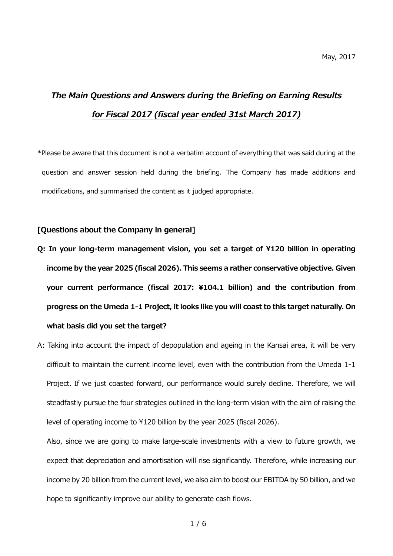# *The Main Questions and Answers during the Briefing on Earning Results for Fiscal 2017 (fiscal year ended 31st March 2017)*

\*Please be aware that this document is not a verbatim account of everything that was said during at the question and answer session held during the briefing. The Company has made additions and modifications, and summarised the content as it judged appropriate.

## **[Questions about the Company in general]**

- **Q: In your long-term management vision, you set a target of ¥120 billion in operating income by the year 2025 (fiscal 2026). This seems a rather conservative objective. Given your current performance (fiscal 2017: ¥104.1 billion) and the contribution from progress on the Umeda 1-1 Project, it looks like you will coast to this target naturally. On what basis did you set the target?**
- A: Taking into account the impact of depopulation and ageing in the Kansai area, it will be very difficult to maintain the current income level, even with the contribution from the Umeda 1-1 Project. If we just coasted forward, our performance would surely decline. Therefore, we will steadfastly pursue the four strategies outlined in the long-term vision with the aim of raising the level of operating income to ¥120 billion by the year 2025 (fiscal 2026).

Also, since we are going to make large-scale investments with a view to future growth, we expect that depreciation and amortisation will rise significantly. Therefore, while increasing our income by 20 billion from the current level, we also aim to boost our EBITDA by 50 billion, and we hope to significantly improve our ability to generate cash flows.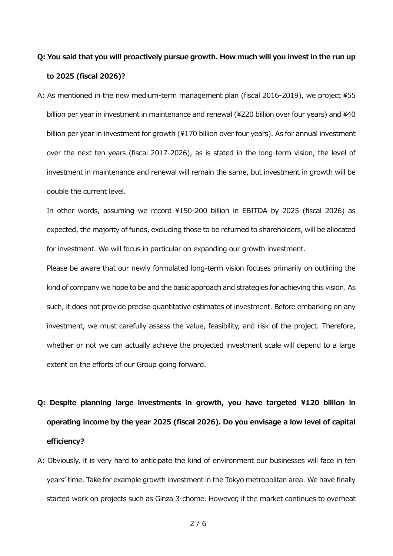## **Q: You said that you will proactively pursue growth. How much will you invest in the run up to 2025 (fiscal 2026)?**

A: As mentioned in the new medium-term management plan (fiscal 2016-2019), we project ¥55 billion per year in investment in maintenance and renewal (¥220 billion over four years) and ¥40 billion per year in investment for growth (¥170 billion over four years). As for annual investment over the next ten years (fiscal 2017-2026), as is stated in the long-term vision, the level of investment in maintenance and renewal will remain the same, but investment in growth will be double the current level.

In other words, assuming we record ¥150-200 billion in EBITDA by 2025 (fiscal 2026) as expected, the majority of funds, excluding those to be returned to shareholders, will be allocated for investment. We will focus in particular on expanding our growth investment.

Please be aware that our newly formulated long-term vision focuses primarily on outlining the kind of company we hope to be and the basic approach and strategies for achieving this vision. As such, it does not provide precise quantitative estimates of investment. Before embarking on any investment, we must carefully assess the value, feasibility, and risk of the project. Therefore, whether or not we can actually achieve the projected investment scale will depend to a large extent on the efforts of our Group going forward.

- **Q: Despite planning large investments in growth, you have targeted ¥120 billion in operating income by the year 2025 (fiscal 2026). Do you envisage a low level of capital efficiency?**
- A: Obviously, it is very hard to anticipate the kind of environment our businesses will face in ten years' time. Take for example growth investment in the Tokyo metropolitan area. We have finally started work on projects such as Ginza 3-chome. However, if the market continues to overheat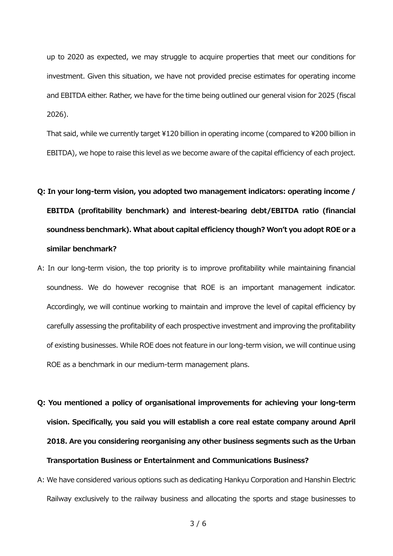up to 2020 as expected, we may struggle to acquire properties that meet our conditions for investment. Given this situation, we have not provided precise estimates for operating income and EBITDA either. Rather, we have for the time being outlined our general vision for 2025 (fiscal 2026).

That said, while we currently target ¥120 billion in operating income (compared to ¥200 billion in EBITDA), we hope to raise this level as we become aware of the capital efficiency of each project.

# **Q: In your long-term vision, you adopted two management indicators: operating income / EBITDA (profitability benchmark) and interest-bearing debt/EBITDA ratio (financial soundness benchmark). What about capital efficiency though? Won't you adopt ROE or a similar benchmark?**

- A: In our long-term vision, the top priority is to improve profitability while maintaining financial soundness. We do however recognise that ROE is an important management indicator. Accordingly, we will continue working to maintain and improve the level of capital efficiency by carefully assessing the profitability of each prospective investment and improving the profitability of existing businesses. While ROE does not feature in our long-term vision, we will continue using ROE as a benchmark in our medium-term management plans.
- **Q: You mentioned a policy of organisational improvements for achieving your long-term vision. Specifically, you said you will establish a core real estate company around April 2018. Are you considering reorganising any other business segments such as the Urban Transportation Business or Entertainment and Communications Business?**
- A: We have considered various options such as dedicating Hankyu Corporation and Hanshin Electric Railway exclusively to the railway business and allocating the sports and stage businesses to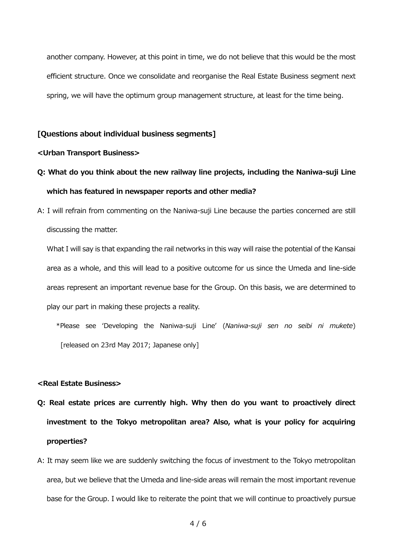another company. However, at this point in time, we do not believe that this would be the most efficient structure. Once we consolidate and reorganise the Real Estate Business segment next spring, we will have the optimum group management structure, at least for the time being.

## **[Questions about individual business segments]**

#### **<Urban Transport Business>**

- **Q: What do you think about the new railway line projects, including the Naniwa-suji Line which has featured in newspaper reports and other media?**
- A: I will refrain from commenting on the Naniwa-suji Line because the parties concerned are still discussing the matter.

What I will say is that expanding the rail networks in this way will raise the potential of the Kansai area as a whole, and this will lead to a positive outcome for us since the Umeda and line-side areas represent an important revenue base for the Group. On this basis, we are determined to play our part in making these projects a reality.

\*Please see 'Developing the Naniwa-suji Line' (*Naniwa-suji sen no seibi ni mukete*) [released on 23rd May 2017; Japanese only]

### **<Real Estate Business>**

- **Q: Real estate prices are currently high. Why then do you want to proactively direct investment to the Tokyo metropolitan area? Also, what is your policy for acquiring properties?**
- A: It may seem like we are suddenly switching the focus of investment to the Tokyo metropolitan area, but we believe that the Umeda and line-side areas will remain the most important revenue base for the Group. I would like to reiterate the point that we will continue to proactively pursue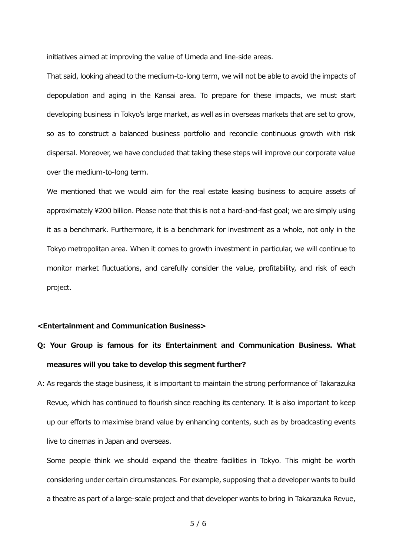initiatives aimed at improving the value of Umeda and line-side areas.

That said, looking ahead to the medium-to-long term, we will not be able to avoid the impacts of depopulation and aging in the Kansai area. To prepare for these impacts, we must start developing business in Tokyo's large market, as well as in overseas markets that are set to grow, so as to construct a balanced business portfolio and reconcile continuous growth with risk dispersal. Moreover, we have concluded that taking these steps will improve our corporate value over the medium-to-long term.

We mentioned that we would aim for the real estate leasing business to acquire assets of approximately ¥200 billion. Please note that this is not a hard-and-fast goal; we are simply using it as a benchmark. Furthermore, it is a benchmark for investment as a whole, not only in the Tokyo metropolitan area. When it comes to growth investment in particular, we will continue to monitor market fluctuations, and carefully consider the value, profitability, and risk of each project.

#### **<Entertainment and Communication Business>**

# **Q: Your Group is famous for its Entertainment and Communication Business. What measures will you take to develop this segment further?**

A: As regards the stage business, it is important to maintain the strong performance of Takarazuka Revue, which has continued to flourish since reaching its centenary. It is also important to keep up our efforts to maximise brand value by enhancing contents, such as by broadcasting events live to cinemas in Japan and overseas.

Some people think we should expand the theatre facilities in Tokyo. This might be worth considering under certain circumstances. For example, supposing that a developer wants to build a theatre as part of a large-scale project and that developer wants to bring in Takarazuka Revue,

5 / 6